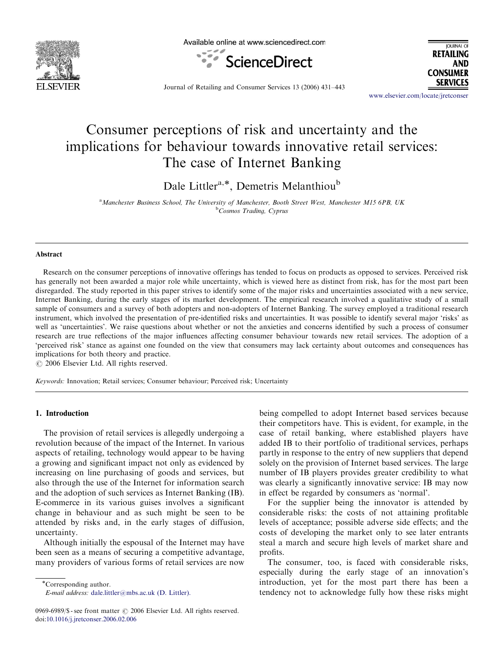

Available online at www.sciencedirect.com



**IOURNAL OF RETAILING AND CONSUMER SERVICES** 

Journal of Retailing and Consumer Services 13 (2006) 431–443

<www.elsevier.com/locate/jretconser>

## Consumer perceptions of risk and uncertainty and the implications for behaviour towards innovative retail services: The case of Internet Banking

Dale Littler<sup>a,\*</sup>, Demetris Melanthiou<sup>b</sup>

<sup>a</sup> Manchester Business School, The University of Manchester, Booth Street West, Manchester M15 6PB, UK <sup>b</sup>Cosmos Trading, Cyprus

## Abstract

Research on the consumer perceptions of innovative offerings has tended to focus on products as opposed to services. Perceived risk has generally not been awarded a major role while uncertainty, which is viewed here as distinct from risk, has for the most part been disregarded. The study reported in this paper strives to identify some of the major risks and uncertainties associated with a new service, Internet Banking, during the early stages of its market development. The empirical research involved a qualitative study of a small sample of consumers and a survey of both adopters and non-adopters of Internet Banking. The survey employed a traditional research instrument, which involved the presentation of pre-identified risks and uncertainties. It was possible to identify several major 'risks' as well as 'uncertainties'. We raise questions about whether or not the anxieties and concerns identified by such a process of consumer research are true reflections of the major influences affecting consumer behaviour towards new retail services. The adoption of a 'perceived risk' stance as against one founded on the view that consumers may lack certainty about outcomes and consequences has implications for both theory and practice.

 $C$  2006 Elsevier Ltd. All rights reserved.

Keywords: Innovation; Retail services; Consumer behaviour; Perceived risk; Uncertainty

## 1. Introduction

The provision of retail services is allegedly undergoing a revolution because of the impact of the Internet. In various aspects of retailing, technology would appear to be having a growing and significant impact not only as evidenced by increasing on line purchasing of goods and services, but also through the use of the Internet for information search and the adoption of such services as Internet Banking (IB). E-commerce in its various guises involves a significant change in behaviour and as such might be seen to be attended by risks and, in the early stages of diffusion, uncertainty.

Although initially the espousal of the Internet may have been seen as a means of securing a competitive advantage, many providers of various forms of retail services are now

Corresponding author.

E-mail address: [dale.littler@mbs.ac.uk \(D. Littler\).](mailto:dale.littler@mbs.ac.uk)

being compelled to adopt Internet based services because their competitors have. This is evident, for example, in the case of retail banking, where established players have added IB to their portfolio of traditional services, perhaps partly in response to the entry of new suppliers that depend solely on the provision of Internet based services. The large number of IB players provides greater credibility to what was clearly a significantly innovative service: IB may now in effect be regarded by consumers as 'normal'.

For the supplier being the innovator is attended by considerable risks: the costs of not attaining profitable levels of acceptance; possible adverse side effects; and the costs of developing the market only to see later entrants steal a march and secure high levels of market share and profits.

The consumer, too, is faced with considerable risks, especially during the early stage of an innovation's introduction, yet for the most part there has been a tendency not to acknowledge fully how these risks might

<sup>0969-6989/\$ -</sup> see front matter © 2006 Elsevier Ltd. All rights reserved. doi:[10.1016/j.jretconser.2006.02.006](dx.doi.org/10.1016/j.jretconser.2006.02.006)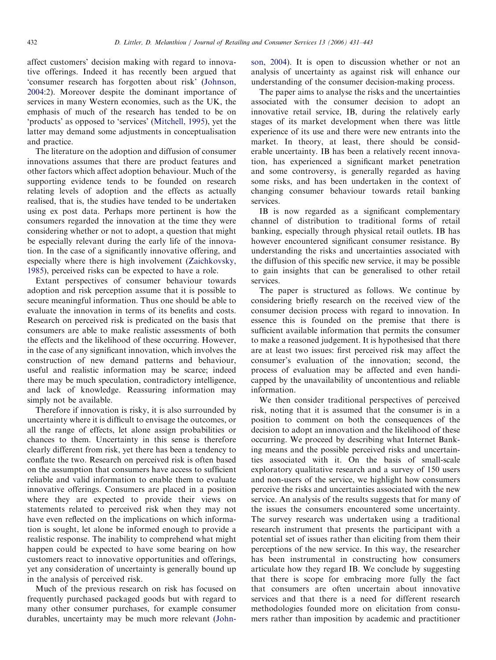affect customers' decision making with regard to innovative offerings. Indeed it has recently been argued that 'consumer research has forgotten about risk' [\(Johnson,](#page--1-0) [2004:](#page--1-0)2). Moreover despite the dominant importance of services in many Western economies, such as the UK, the emphasis of much of the research has tended to be on 'products' as opposed to 'services' ([Mitchell, 1995\)](#page--1-0), yet the latter may demand some adjustments in conceptualisation and practice.

The literature on the adoption and diffusion of consumer innovations assumes that there are product features and other factors which affect adoption behaviour. Much of the supporting evidence tends to be founded on research relating levels of adoption and the effects as actually realised, that is, the studies have tended to be undertaken using ex post data. Perhaps more pertinent is how the consumers regarded the innovation at the time they were considering whether or not to adopt, a question that might be especially relevant during the early life of the innovation. In the case of a significantly innovative offering, and especially where there is high involvement [\(Zaichkovsky,](#page--1-0) [1985\)](#page--1-0), perceived risks can be expected to have a role.

Extant perspectives of consumer behaviour towards adoption and risk perception assume that it is possible to secure meaningful information. Thus one should be able to evaluate the innovation in terms of its benefits and costs. Research on perceived risk is predicated on the basis that consumers are able to make realistic assessments of both the effects and the likelihood of these occurring. However, in the case of any significant innovation, which involves the construction of new demand patterns and behaviour, useful and realistic information may be scarce; indeed there may be much speculation, contradictory intelligence, and lack of knowledge. Reassuring information may simply not be available.

Therefore if innovation is risky, it is also surrounded by uncertainty where it is difficult to envisage the outcomes, or all the range of effects, let alone assign probabilities or chances to them. Uncertainty in this sense is therefore clearly different from risk, yet there has been a tendency to conflate the two. Research on perceived risk is often based on the assumption that consumers have access to sufficient reliable and valid information to enable them to evaluate innovative offerings. Consumers are placed in a position where they are expected to provide their views on statements related to perceived risk when they may not have even reflected on the implications on which information is sought, let alone be informed enough to provide a realistic response. The inability to comprehend what might happen could be expected to have some bearing on how customers react to innovative opportunities and offerings, yet any consideration of uncertainty is generally bound up in the analysis of perceived risk.

Much of the previous research on risk has focused on frequently purchased packaged goods but with regard to many other consumer purchases, for example consumer durables, uncertainty may be much more relevant ([John-](#page--1-0) [son, 2004](#page--1-0)). It is open to discussion whether or not an analysis of uncertainty as against risk will enhance our understanding of the consumer decision-making process.

The paper aims to analyse the risks and the uncertainties associated with the consumer decision to adopt an innovative retail service, IB, during the relatively early stages of its market development when there was little experience of its use and there were new entrants into the market. In theory, at least, there should be considerable uncertainty. IB has been a relatively recent innovation, has experienced a significant market penetration and some controversy, is generally regarded as having some risks, and has been undertaken in the context of changing consumer behaviour towards retail banking services.

IB is now regarded as a significant complementary channel of distribution to traditional forms of retail banking, especially through physical retail outlets. IB has however encountered significant consumer resistance. By understanding the risks and uncertainties associated with the diffusion of this specific new service, it may be possible to gain insights that can be generalised to other retail services.

The paper is structured as follows. We continue by considering briefly research on the received view of the consumer decision process with regard to innovation. In essence this is founded on the premise that there is sufficient available information that permits the consumer to make a reasoned judgement. It is hypothesised that there are at least two issues: first perceived risk may affect the consumer's evaluation of the innovation; second, the process of evaluation may be affected and even handicapped by the unavailability of uncontentious and reliable information.

We then consider traditional perspectives of perceived risk, noting that it is assumed that the consumer is in a position to comment on both the consequences of the decision to adopt an innovation and the likelihood of these occurring. We proceed by describing what Internet Banking means and the possible perceived risks and uncertainties associated with it. On the basis of small-scale exploratory qualitative research and a survey of 150 users and non-users of the service, we highlight how consumers perceive the risks and uncertainties associated with the new service. An analysis of the results suggests that for many of the issues the consumers encountered some uncertainty. The survey research was undertaken using a traditional research instrument that presents the participant with a potential set of issues rather than eliciting from them their perceptions of the new service. In this way, the researcher has been instrumental in constructing how consumers articulate how they regard IB. We conclude by suggesting that there is scope for embracing more fully the fact that consumers are often uncertain about innovative services and that there is a need for different research methodologies founded more on elicitation from consumers rather than imposition by academic and practitioner